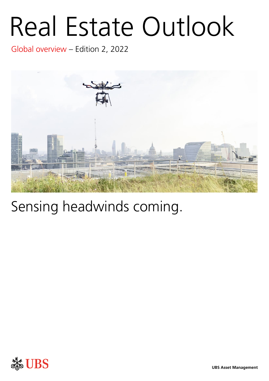# Real Estate Outlook

Global overview – Edition 2, 2022



## Sensing headwinds coming.

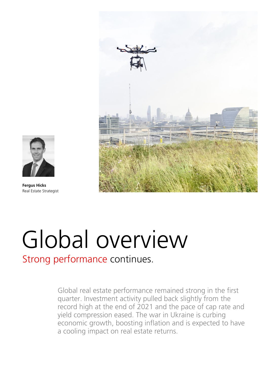



**Fergus Hicks**  Real Estate Strategist

## Global overview

Strong performance continues.

Global real estate performance remained strong in the first quarter. Investment activity pulled back slightly from the record high at the end of 2021 and the pace of cap rate and yield compression eased. The war in Ukraine is curbing economic growth, boosting inflation and is expected to have a cooling impact on real estate returns.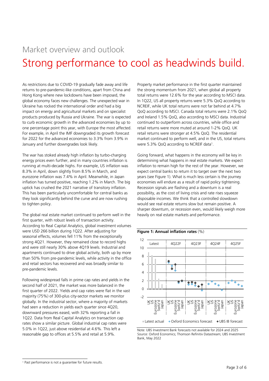### Market overview and outlook Strong performance to cool as headwinds build.

As restrictions due to COVID-19 gradually fade away and life returns to pre-pandemic-like conditions, apart from China and Hong Kong where new lockdowns have been imposed, the global economy faces new challenges. The unexpected war in Ukraine has rocked the international order and had a big impact on energy and agricultural markets and on specialist products produced by Russia and Ukraine. The war is expected to curb economic growth in the advanced economies by up to one percentage point this year, with Europe the most affected. For example, in April the IMF downgraded its growth forecast for 2022 for the advanced economies to 3.3% from 3.9% in January and further downgrades look likely.

The war has stoked already high inflation by turbo-charging energy prices even further, and in many countries inflation is running at multi-decade highs. For example, US inflation was 8.3% in April, down slightly from 8.5% in March, and eurozone inflation was 7.4% in April. Meanwhile, in Japan inflation has turned positive, reaching 1.2% in March. The big uptick has crushed the 2021 narrative of transitory inflation. This has been particularly uncomfortable for central banks as they look significantly behind the curve and are now rushing to tighten policy.

The global real estate market continued to perform well in the first quarter, with robust levels of transaction activity. According to Real Capital Analytics, global investment volumes were USD 266 billion during 1Q22. After adjusting for seasonal effects, volumes fell 11% from the exceptionally strong 4Q21. However, they remained close to record highs and were still nearly 30% above 4Q19 levels. Industrial and apartments continued to drive global activity, both up by more than 50% from pre-pandemic levels, while activity in the office and retail sectors has recovered and was broadly similar to pre-pandemic levels.

Following widespread falls in prime cap rates and yields in the second half of 2021, the market was more balanced in the first quarter of 2022. Yields and cap rates were flat in the vast majority (75%) of 300-plus city-sector markets we monitor globally. In the industrial sector, where a majority of markets had seen a reduction in yields each quarter since 4Q20, downward pressures eased, with 32% reporting a fall in 1Q22. Data from Real Capital Analytics on transaction cap rates show a similar picture. Global industrial cap rates were 5.0% in 1Q22, just above residential at 4.6%. This left a reasonable gap to offices at 5.5% and retail at 5.9%.

Property market performance in the first quarter maintained the strong momentum from 2021, when global all property total returns were 12.6% for the year according to MSCI data. In 1Q22, US all property returns were 5.3% QoQ according to NCREIF, while UK total returns were not far behind at 4.7% QoQ according to MSCI. Canada total returns were 2.1% QoQ and Ireland 1.5% QoQ, also according to MSCI data. Industrial continued to outperform across countries, while office and retail returns were more muted at around 1-2% QoQ. UK retail returns were stronger at 4.5% QoQ. The residential market continued to perform well, and in the US, total returns were 5.3% QoQ according to NCREIF data<sup>1</sup> .

Going forward, what happens in the economy will be key in determining what happens in real estate markets. We expect inflation to remain high for the rest of the year. However, we expect central banks to return it to target over the next two years (see Figure 1). What is much less certain is the journey economies will endure as a result of rapid policy tightening. Recession signals are flashing and a downturn is a real possibility, as the cost of living crisis and rate rises squeeze disposable incomes. We think that a controlled slowdown would see real estate returns slow but remain positive. A sharper downturn, or recession even, would likely weigh more heavily on real estate markets and performance.





Note: UBS Investment Bank forecasts not available for 2024 and 2025 Source: Oxford Economics; Thomson Refinitiv Datastream; UBS Investment Bank, May 2022

<sup>1</sup> Past performance is not a guarantee for future results.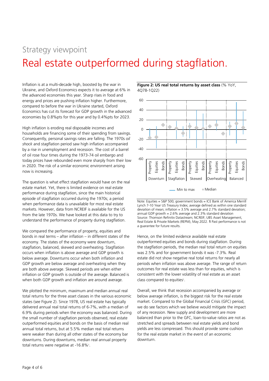### Strategy viewpoint Real estate outperformed during stagflation.

Inflation is at a multi-decade high, boosted by the war in Ukraine, and Oxford Economics expects it to average at 6% in the advanced economies this year. Sharp rises in food and energy and prices are pushing inflation higher. Furthermore, compared to before the war in Ukraine started, Oxford Economics has cut its forecast for GDP growth in the advanced economies by 0.8%pts for this year and by 0.4%pts for 2023.

High inflation is eroding real disposable incomes and households are financing some of their spending from savings. Consequently, personal savings rates are falling. The 1970s *oil shock* and stagflation period saw high inflation accompanied by a rise in unemployment and recession. The cost of a barrel of oil rose four times during the 1973-74 oil embargo and today prices have rebounded even more sharply from their low in 2020. The risk of a similar economic environment arising now is increasing.

The question is what effect stagflation would have on the real estate market. Yet, there is limited evidence on real estate performance during stagflation, since the main historical episode of stagflation occurred during the 1970s; a period when performance data is unavailable for most real estate markets. However, data from NCREIF is available for the US from the late 1970s. We have looked at this data to try to understand the performance of property during stagflation.

We compared the performance of property, equities and bonds in real terms – after inflation – in different states of the economy. The states of the economy were downturn, stagflation, balanced, skewed and overheating. Stagflation occurs when inflation is above average and GDP growth is below average. Downturns occur when both inflation and GDP growth are below average and overheating when they are both above average. Skewed periods are when either inflation or GDP growth is outside of the average. Balanced is when both GDP growth and inflation are around average.

We plotted the minimum, maximum and median annual real total returns for the three asset classes in the various economic states (see Figure 2). Since 1978, US real estate has typically delivered annual real total returns of 6-7%, with a median of 6.9% during periods when the economy was balanced. During the small number of stagflation periods observed, real estate outperformed equities and bonds on the basis of median real annual total returns, but at 5.5% median real total returns were weaker than during all other states of the economy bar downturns. During downturns, median real annual property total returns were negative at -16.8%<sup>1</sup>.





Min to max  $\blacklozenge$  Median

Note: Equities = S&P 500; government bonds = ICE Bank of America Merrill Lynch 7-10 Year US Treasury Index; average defined as within one standard deviation of mean; inflation =  $3.5\%$  average and 2.7% standard deviation; annual GDP growth =  $2.6\%$  average and  $2.3\%$  standard deviation Source: Thomson Refinitiv Datastream; NCREIF; UBS Asset Management, Real Estate & Private Markets (REPM), May 2022. **1** Past performance is not a guarantee for future results.

Hence, on the limited evidence available real estate outperformed equities and bonds during stagflation. During the stagflation periods, the median real total return on equities was 2.5% and for government bonds it was -7.3%. Real estate did not show negative real total returns for nearly all periods when inflation was above average. The range of return outcomes for real estate was less than for equities, which is consistent with the lower volatility of real estate as an asset class compared to equities<sup>1</sup>.

Overall, we think that recession accompanied by average or below average inflation, is the biggest risk for the real estate market. Compared to the Global Financial Crisis (GFC) period, we do see factors which we believe would mitigate the impact of any recession. New supply and development are more balanced than prior to the GFC, loan-to-value ratios are not as stretched and spreads between real estate yields and bond yields are less compressed. This should provide some cushion for the real estate market in the event of an economic downturn.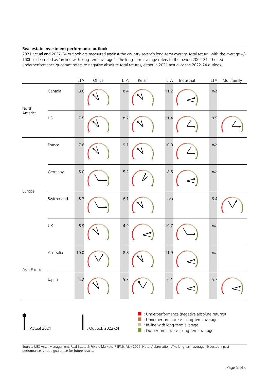#### **Real estate investment performance outlook**

2021 actual and 2022-24 outlook are measured against the country-sector's long-term average total return, with the average +/- 100bps described as "in line with long-term average". The long-term average refers to the period 2002-21. The red underperformance quadrant refers to negative absolute total returns, either in 2021 actual or the 2022-24 outlook.

|                  |             | <b>LTA</b> | Office                                                                                                                                                                                     | <b>LTA</b> | Retail | <b>LTA</b> | Industrial | <b>LTA</b> | Multifamily |
|------------------|-------------|------------|--------------------------------------------------------------------------------------------------------------------------------------------------------------------------------------------|------------|--------|------------|------------|------------|-------------|
| North<br>America | Canada      | 8.6        |                                                                                                                                                                                            | 8.4        |        | 11.2       |            | n/a        |             |
|                  | US          | 7.5        |                                                                                                                                                                                            | 8.7        |        | 11.4       |            | 8.5        |             |
| Europe           | France      | 7.6        |                                                                                                                                                                                            | 9.1        |        | 10.0       |            | n/a        |             |
|                  | Germany     | 5.0        |                                                                                                                                                                                            | 5.2        |        | 8.5        |            | n/a        |             |
|                  | Switzerland | 5.7        |                                                                                                                                                                                            | 6.1        |        | n/a        |            | 6.4        |             |
|                  | UK          | 6.9        |                                                                                                                                                                                            | 4.9        |        | 10.7       |            | n/a        |             |
| Asia Pacific     | Australia   | 10.0       |                                                                                                                                                                                            | 8.8        |        | 11.9       |            | n/a        |             |
|                  | Japan       | 5.2        |                                                                                                                                                                                            | 5.3        |        | $6.1$      |            | 5.7        |             |
| : Actual 2021    |             |            | Underperformance (negative absolute returns)<br>: Underperformance vs. long-term average<br>: In line with long-term average<br>: Outlook 2022-24<br>Coutperformance vs. long-term average |            |        |            |            |            |             |

Source: UBS Asset Management, Real Estate & Private Markets (REPM), May 2022. Note: Abbreviation LTA: long-term average. Expected / past performance is not a guarantee for future results.